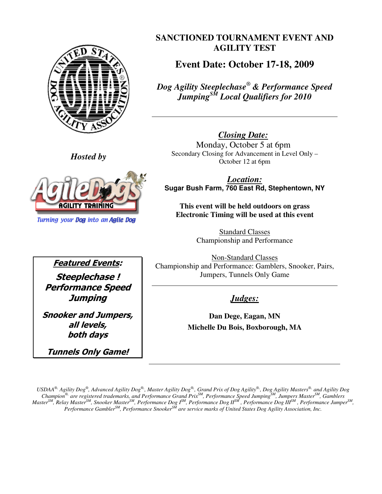

**SANCTIONED TOURNAMENT EVENT AND AGILITY TEST** 

**Event Date: October 17-18, 2009** 

*Dog Agility Steeplechase® & Performance Speed JumpingSM Local Qualifiers for 2010* 

*Closing Date:* Monday, October 5 at 6pm Secondary Closing for Advancement in Level Only – October 12 at 6pm

*Location:* **Sugar Bush Farm, 760 East Rd, Stephentown, NY** 

**This event will be held outdoors on grass Electronic Timing will be used at this event**

> Standard Classes Championship and Performance

Non-Standard Classes Championship and Performance: Gamblers, Snooker, Pairs, Jumpers, Tunnels Only Game

*Judges:*

**Dan Dege, Eagan, MN Michelle Du Bois, Boxborough, MA** 

*Hosted by* 



**Turning your Dog into an Agile Dog** 

Featured Events: Steeplechase ! Performance Speed **Jumping** 

Snooker and Jumpers, all levels, both days

Tunnels Only Game!

 $USD A^{\otimes}$ . Agility  $Dog^{\otimes}$ , Advanced Agility  $Dog^{\otimes}$ , Master Agility  $Dog^{\otimes}$ , Grand Prix of  $Dog$  Agility $^{\otimes}$ , Dog Agility Masters $^{\otimes}$ , and Agility  $Dog$ *Champion®, are registered trademarks, and Performance Grand PrixSM, Performance Speed JumpingSM, Jumpers MasterSM, Gamblers*  Master<sup>SM</sup>, Relay Master<sup>SM</sup>, Snooker Master<sup>SM</sup>, Performance Dog I<sup>SM</sup>, Performance Dog II<sup>SM</sup>, Performance Dog III<sup>SM</sup>, Performance Jumper<sup>SM</sup>, *Performance GamblerSM, Performance SnookerSM are service marks of United States Dog Agility Association, Inc.*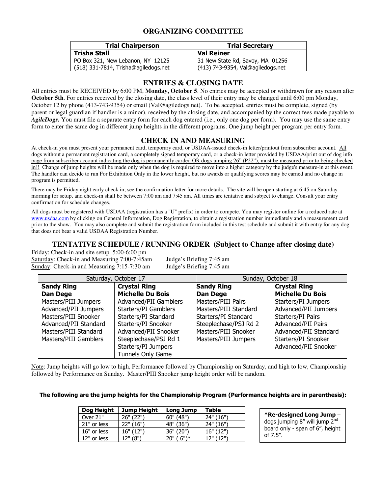## **ORGANIZING COMMITTEE**

| <b>Trial Chairperson</b>             | <b>Trial Secretary</b>            |  |  |
|--------------------------------------|-----------------------------------|--|--|
| Trisha Stall                         | <b>Val Reiner</b>                 |  |  |
| PO Box 321, New Lebanon, NY 12125    | 31 New State Rd, Savoy, MA 01256  |  |  |
| (518) 331-7814, Trisha@agiledogs.net | (413) 743-9354, Val@agiledogs.net |  |  |

## **ENTRIES & CLOSING DATE**

All entries must be RECEIVED by 6:00 PM, **Monday, October 5**. No entries may be accepted or withdrawn for any reason after **October 5th**. For entries received by the closing date, the class level of their entry may be changed until 6:00 pm Monday, October 12 by phone (413-743-9354) or email (Val@agiledogs.net). To be accepted, entries must be complete, signed (by parent or legal guardian if handler is a minor), received by the closing date, and accompanied by the correct fees made payable to *AgileDogs.* You must file a separate entry form for each dog entered (i.e., only one dog per form). You may use the same entry form to enter the same dog in different jump heights in the different programs. One jump height per program per entry form.

### **CHECK IN AND MEASURING**

At check-in you must present your permanent card, temporary card, or USDAA-issued check-in letter/printout from subscriber account. All dogs without a permanent registration card, a completely signed temporary card, or a check-in letter provided by USDAA/print out of dog info page from subscriber account indicating the dog is permanently carded OR dogs jumping 26" (P22"), must be measured prior to being checked in!! Change of jump heights will be made only when the dog is required to move into a higher category by the judge's measure-in at this event. The handler can decide to run For Exhibition Only in the lower height, but no awards or qualifying scores may be earned and no change in program is permitted.

There may be Friday night early check in; see the confirmation letter for more details. The site will be open starting at 6:45 on Saturday morning for setup, and check-in shall be between 7:00 am and 7:45 am. All times are tentative and subject to change. Consult your entry confirmation for schedule changes.

All dogs must be registered with USDAA (registration has a "U" prefix) in order to compete. You may register online for a reduced rate at www.usdaa.com by clicking on General Information, Dog Registration, to obtain a registration number immediately and a measurement card prior to the show. You may also complete and submit the registration form included in this test schedule and submit it with entry for any dog that does not bear a valid USDAA Registration Number.

### **TENTATIVE SCHEDULE / RUNNING ORDER (Subject to Change after closing date)**

Friday: Check-in and site setup 5:00-6:00 pm Saturday: Check-in and Measuring 7:00-7:45am Judge's Briefing 7:45 am Sunday: Check-in and Measuring 7:15-7:30 am Judge's Briefing 7:45 am

| Saturday, October 17                     |                          | Sunday, October 18    |                         |  |
|------------------------------------------|--------------------------|-----------------------|-------------------------|--|
| <b>Crystal Ring</b><br><b>Sandy Ring</b> |                          | <b>Sandy Ring</b>     | <b>Crystal Ring</b>     |  |
| <b>Dan Dege</b>                          | <b>Michelle Du Bois</b>  | <b>Dan Dege</b>       | <b>Michelle Du Bois</b> |  |
| Masters/PIII Jumpers                     | Advanced/PII Gamblers    | Masters/PIII Pairs    | Starters/PI Jumpers     |  |
| Advanced/PII Jumpers                     | Starters/PI Gamblers     | Masters/PIII Standard | Advanced/PII Jumpers    |  |
| Masters/PIII Snooker                     | Starters/PI Standard     | Starters/PI Standard  | Starters/PI Pairs       |  |
| Advanced/PII Standard                    | Starters/PI Snooker      | Steeplechase/PSJ Rd 2 | Advanced/PII Pairs      |  |
| Masters/PIII Standard                    | Advanced/PII Snooker     | Masters/PIII Snooker  | Advanced/PII Standard   |  |
| Masters/PIII Gamblers                    | Steeplechase/PSJ Rd 1    | Masters/PIII Jumpers  | Starters/PI Snooker     |  |
|                                          | Starters/PI Jumpers      |                       | Advanced/PII Snooker    |  |
|                                          | <b>Tunnels Only Game</b> |                       |                         |  |

Note: Jump heights will go low to high, Performance followed by Championship on Saturday, and high to low, Championship followed by Performance on Sunday. Master/PIII Snooker jump height order will be random.

### The following are the jump heights for the Championship Program (Performance heights are in parenthesis):

| Dog Height  | <b>Jump Height</b> | <b>Long Jump</b> | <b>Table</b> |
|-------------|--------------------|------------------|--------------|
| Over 21"    | 26" (22")          | 60" (48")        | 24" (16")    |
| 21" or less | 22" (16")          | 48" (36")        | 24" (16")    |
| 16" or less | 16" (12")          | 36" (20")        | 16" (12")    |
| 12" or less | (8"')              | $6")^*$<br>ייחר  |              |

\*Re-designed Long Jump – dogs jumping 8" will jump 2<sup>nd</sup> board only - span of 6", height of 7.5".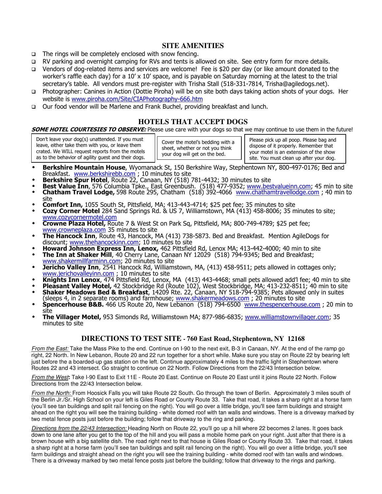### **SITE AMENITIES**

- $\Box$  The rings will be completely enclosed with snow fencing.
- □ RV parking and overnight camping for RVs and tents is allowed on site. See entry form for more details.
- Vendors of dog-related items and services are welcome! Fee is \$20 per day (or like amount donated to the worker's raffle each day) for a 10' x 10' space, and is payable on Saturday morning at the latest to the trial secretary's table. All vendors must pre-register with Trisha Stall (518-331-7814, Trisha@agiledogs.net).
- Photographer: Canines in Action (Dottie Piroha) will be on site both days taking action shots of your dogs. Her website is www.piroha.com/Site/CIAPhotography-666.htm
- Our food vendor will be Marlene and Frank Buchel, providing breakfast and lunch.

### **HOTELS THAT ACCEPT DOGS**

SOME HOTEL COURTESIES TO OBSERVE: Please use care with your dogs so that we may continue to use them in the future!

Don't leave your dog(s) unattended. If you must leave, either take them with you, or leave them crated. We WILL request reports from the motels as to the behavior of agility guest and their dogs.

Cover the motel's bedding with a sheet, whether or not you think your dog will get on the bed.

Please pick up all poop. Please bag and dispose of it properly. Remember that your motel is an extension of the show site. You must clean up after your dog.

- Berkshire Mountain House, Wyomanack St, 150 Berkshire Way, Stephentown NY, 800-497-0176; Bed and
- Breakfast. www.berkshirebb.com ; 10 minutes to site<br>**Berkshire Spur Hotel**, Route 22, Canaan, NY (518) 781-4432; 30 minutes to site
- **Best Value Inn**, 576 Columbia Tpke., East Greenbush. (518) 477-9352; www.bestvalueinn.com; 45 min to site
- Chatham Travel Lodge, 598 Route 295, Chatham (518) 392-4066 www.chathamtravellodge.com; 40 min to site
- Comfort Inn, 1055 South St, Pittsfield, MA; 413-443-4714; \$25 pet fee; 35 minutes to site
- Cozy Corner Motel 284 Sand Springs Rd. & US 7, Williamstown, MA (413) 458-8006; 35 minutes to site; www.cozycornermotel.com
- Crowne Plaza Hotel, Route 7 & West St on Park Sq, Pittsfield, MA; 800-749-4789; \$25 pet fee; www.crowneplaza.com 35 minutes to site
- The Hancock Inn, Route 43, Hancock, MA (413) 738-5873. Bed and Breakfast. Mention AgileDogs for discount; www.thehancockinn.com; 10 minutes to site
- + Howard Johnson Express Inn, Lenox, 462 Pittsfield Rd, Lenox MA; 413-442-4000; 40 min to site
- The Inn at Shaker Mill, 40 Cherry Lane, Canaan NY 12029 (518) 794-9345; Bed and Breakfast;
- www.shakermillfarminn.com; 20 minutes to site<br> **30 absolut Pricho Valley Inn**, 2541 Hancock Rd, Williamstown, MA, (413) 458-9511; pets allowed in cottages only;
- www.jerichovalleyinn.com ; 10 minutes to site Knights Inn Lenox, 474 Pittsfield Rd, Lenox, MA (413) 443-4468; small pets allowed add'l fee; 40 min to site
- \* Pleasant Valley Motel, 42 Stockbridge Rd (Route 102), West Stockbridge, MA; 413-232-8511; 40 min to site
- \* Shaker Meadows Bed & Breakfast, 14209 Rte. 22, Canaan, NY 518-794-9385; Pets allowed only in suites (sleeps 4, in 2 separate rooms) and farmhouse; www.shakermeadows.com; 20 minutes to site
- **Spencerhouse B&B.** 466 US Route 20, New Lebanon (518) 794-6500 www.thespencerhouse.com ; 20 min to site
- **The Villager Motel,** 953 Simonds Rd, Williamstown MA; 877-986-6835; www.williamstownvillager.com; 35 minutes to site

# **DIRECTIONS TO TEST SITE - 760 East Road, Stephentown, NY 12168**

From the East: Take the Mass Pike to the end. Continue on I-90 to the next exit, B-3 in Canaan, NY. At the end of the ramp go right, 22 North. In New Lebanon, Route 20 and 22 run together for a short while. Make sure you stay on Route 22 by bearing left just before the a boarded-up gas station on the left. Continue approximately 4 miles to the traffic light in Stephentown where Routes 22 and 43 intersect. Go straight to continue on 22 North. Follow Directions from the 22/43 Intersection below.

From the West**:** Take I-90 East to Exit 11E - Route 20 East. Continue on Route 20 East until it joins Route 22 North. Follow Directions from the 22/43 Intersection below.

From the North: From Hoosick Falls you will take Route 22 South. Go through the town of Berlin. Approximately 3 miles south of the Berlin Jr./Sr. High School on your left is Giles Road or County Route 33. Take that road, it takes a sharp right at a horse farm (you'll see tan buildings and split rail fencing on the right). You will go over a little bridge, you'll see farm buildings and straight ahead on the right you will see the training building - white domed roof with tan walls and windows. There is a driveway marked by two metal fence posts just before the building; follow that driveway to the ring and parking.

Directions from the 22/43 Intersection: Heading North on Route 22, you'll go up a hill where 22 becomes 2 lanes. It goes back down to one lane after you get to the top of the hill and you will pass a mobile home park on your right. Just after that there is a brown house with a big satellite dish. The road right next to that house is Giles Road or County Route 33. Take that road, it takes a sharp right at a horse farm (you'll see tan buildings and split rail fencing on the right). You will go over a little bridge, you'll see farm buildings and straight ahead on the right you will see the training building - white domed roof with tan walls and windows. There is a driveway marked by two metal fence posts just before the building; follow that driveway to the rings and parking.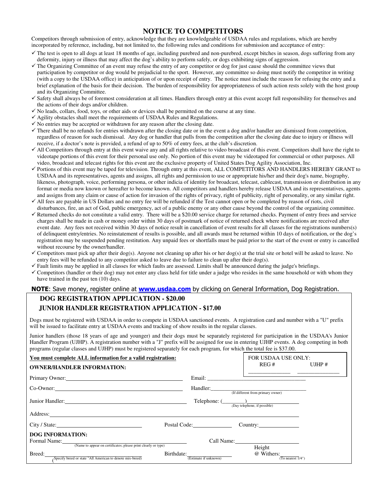## **NOTICE TO COMPETITORS**

Competitors through submission of entry, acknowledge that they are knowledgeable of USDAA rules and regulations, which are hereby incorporated by reference, including, but not limited to, the following rules and conditions for submission and acceptance of entry:

- The test is open to all dogs at least 18 months of age, including purebred and non-purebred, except bitches in season, dogs suffering from any deformity, injury or illness that may affect the dog's ability to perform safely, or dogs exhibiting signs of aggression.
- The Organizing Committee of an event may refuse the entry of any competitor or dog for just cause should the committee views that participation by competitor or dog would be prejudicial to the sport. However, any committee so doing must notify the competitor in writing (with a copy to the USDAA office) in anticipation of or upon receipt of entry. The notice must include the reason for refusing the entry and a brief explanation of the basis for their decision. The burden of responsibility for appropriateness of such action rests solely with the host group and its Organizing Committee.
- Safety shall always be of foremost consideration at all times. Handlers through entry at this event accept full responsibility for themselves and the actions of their dogs and/or children.
- No leads, collars, food, toys, or other aids or devices shall be permitted on the course at any time.
- Agility obstacles shall meet the requirements of USDAA Rules and Regulations.
- $\checkmark$  No entries may be accepted or withdrawn for any reason after the closing date.
- There shall be no refunds for entries withdrawn after the closing date or in the event a dog and/or handler are dismissed from competition, regardless of reason for such dismissal. Any dog or handler that pulls from the competition after the closing date due to injury or illness will receive, if a doctor's note is provided, a refund of up to 50% of entry fees, at the club's discretion.
- All Competitors through entry at this event waive any and all rights relative to video broadcast of this event. Competitors shall have the right to videotape portions of this event for their personal use only. No portion of this event may be videotaped for commercial or other purposes. All video, broadcast and telecast rights for this event are the exclusive property of United States Dog Agility Association, Inc.
- Portions of this event may be taped for television. Through entry at this event, ALL COMPETITORS AND HANDLERS HEREBY GRANT to USDAA and its representatives, agents and assigns, all rights and permission to use or appropriate his/her and their dog's name, biography, likeness, photograph, voice, performing persona, or other indicia of identity for broadcast, telecast, cablecast, transmission or distribution in any format or media now known or hereafter to become known. All competitors and handlers hereby release USDAA and its representatives, agents and assigns from any claim or cause of action for invasion of the rights of privacy, right of publicity, right of personality, or any similar right.
- All fees are payable in US Dollars and no entry fee will be refunded if the Test cannot open or be completed by reason of riots, civil disturbances, fire, an act of God, public emergency, act of a public enemy or any other cause beyond the control of the organizing committee.
- Returned checks do not constitute a valid entry. There will be a \$20.00 service charge for returned checks. Payment of entry frees and service charges shall be made in cash or money order within 30 days of postmark of notice of returned check where notifications are received after event date. Any fees not received within 30 days of notice result in cancellation of event results for all classes for the registrations numbers(s) of delinquent entry/entries. No reinstatement of results is possible, and all awards must be returned within 10 days of notification, or the dog's registration may be suspended pending restitution. Any unpaid fees or shortfalls must be paid prior to the start of the event or entry is cancelled without recourse by the owner/handler.
- Competitors must pick up after their dog(s). Anyone not cleaning up after his or her dog(s) at the trial site or hotel will be asked to leave. No entry fees will be refunded to any competitor asked to leave due to failure to clean up after their dog(s).
- Fault limits may be applied in all classes for which faults are assessed. Limits shall be announced during the judge's briefings.
- Competitors (handler or their dog) may not enter any class held for title under a judge who resides in the same household or with whom they have trained in the past ten (10) days.

#### NOTE: Save money, register online at **www.usdaa.com** by clicking on General Information, Dog Registration.

# **DOG REGISTRATION APPLICATION - \$20.00 JUNIOR HANDLER REGISTRATION APPLICATION - \$17.00**

Dogs must be registered with USDAA in order to compete in USDAA sanctioned events. A registration card and number with a "U" prefix will be issued to facilitate entry at USDAA events and tracking of show results in the regular classes.

Junior handlers (those 18 years of age and younger) and their dogs must be separately registered for participation in the USDAA's Junior Handler Program (UJHP). A registration number with a "J" prefix will be assigned for use in entering UJHP events. A dog competing in both programs (regular classes and UJHP) must be registered separately for each program, for which the total fee is \$37.00.

| You must complete ALL information for a valid registration:<br><b>OWNER/HANDLER INFORMATION:</b> |                       | FOR USDAA USE ONLY:<br>REG#                                                                                           | UJHP $#$ |
|--------------------------------------------------------------------------------------------------|-----------------------|-----------------------------------------------------------------------------------------------------------------------|----------|
| Primary Owner:                                                                                   |                       | <u> 1989 - Johann Harry Harry Harry Harry Harry Harry Harry Harry Harry Harry Harry Harry Harry Harry Harry Harry</u> |          |
| Co-Owner:                                                                                        |                       | Handler: (If different from primary owner)                                                                            |          |
| Junior Handler: 2008. [19] Dunior Handler:                                                       |                       | $\text{Telephone: } (\_\_\text{(Day telephone, if possible)}$                                                         |          |
|                                                                                                  |                       |                                                                                                                       |          |
| City / State:                                                                                    | Postal Code:          |                                                                                                                       |          |
| <b>DOG INFORMATION:</b><br>(Name to appear on certificates; please print clearly or type)        |                       | Call Name:<br>Height                                                                                                  |          |
| Birthdate:<br>Breed:<br>Specify breed or state "All American to denote mix-breed)                | (Estimate if unknown) | @ Withers:<br>(To nearest $1/4$ ")                                                                                    |          |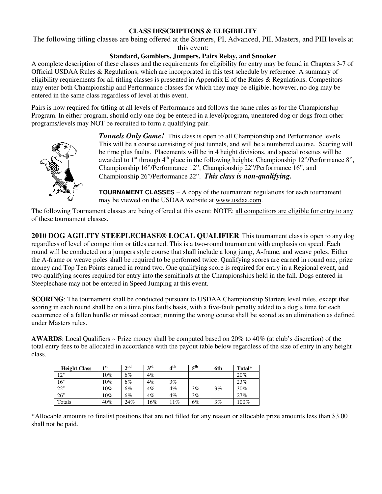## **CLASS DESCRIPTIONS & ELIGIBILITY**

The following titling classes are being offered at the Starters, PI, Advanced, PII, Masters, and PIII levels at this event:

### **Standard, Gamblers, Jumpers, Pairs Relay, and Snooker**

A complete description of these classes and the requirements for eligibility for entry may be found in Chapters 3-7 of Official USDAA Rules & Regulations, which are incorporated in this test schedule by reference. A summary of eligibility requirements for all titling classes is presented in Appendix E of the Rules & Regulations. Competitors may enter both Championship and Performance classes for which they may be eligible; however, no dog may be entered in the same class regardless of level at this event.

Pairs is now required for titling at all levels of Performance and follows the same rules as for the Championship Program. In either program, should only one dog be entered in a level/program, unentered dog or dogs from other programs/levels may NOT be recruited to form a qualifying pair.



*Tunnels Only Game!* This class is open to all Championship and Performance levels. This will be a course consisting of just tunnels, and will be a numbered course. Scoring will be time plus faults. Placements will be in 4 height divisions, and special rosettes will be awarded to  $1<sup>st</sup>$  through  $4<sup>th</sup>$  place in the following heights: Championship 12"/Performance 8", Championship 16"/Perfomrance 12", Championship 22"/Performance 16", and Championship 26"/Performance 22". *This class is non-qualifying.*

**TOURNAMENT CLASSES** – A copy of the tournament regulations for each tournament may be viewed on the USDAA website at www.usdaa.com.

The following Tournament classes are being offered at this event: NOTE: all competitors are eligible for entry to any of these tournament classes.

**2010 DOG AGILITY STEEPLECHASE® LOCAL QUALIFIER**: This tournament class is open to any dog regardless of level of competition or titles earned. This is a two-round tournament with emphasis on speed. Each round will be conducted on a jumpers style course that shall include a long jump, A-frame, and weave poles. Either the A-frame or weave poles shall be required to be performed twice. Qualifying scores are earned in round one, prize money and Top Ten Points earned in round two. One qualifying score is required for entry in a Regional event, and two qualifying scores required for entry into the semifinals at the Championships held in the fall. Dogs entered in Steeplechase may not be entered in Speed Jumping at this event.

**SCORING**: The tournament shall be conducted pursuant to USDAA Championship Starters level rules, except that scoring in each round shall be on a time plus faults basis, with a five-fault penalty added to a dog's time for each occurrence of a fallen hurdle or missed contact; running the wrong course shall be scored as an elimination as defined under Masters rules.

**AWARDS**: Local Qualifiers ~ Prize money shall be computed based on 20% to 40% (at club's discretion) of the total entry fees to be allocated in accordance with the payout table below regardless of the size of entry in any height class.

| <b>Height Class</b> | 1 st   | $\boldsymbol{\gamma}$ nd | $2^{\text{rd}}$ | 4 <sup>th</sup> | 5 <sup>th</sup> | 6th   | Total* |
|---------------------|--------|--------------------------|-----------------|-----------------|-----------------|-------|--------|
| 12"                 | $10\%$ | 6%                       | $4\%$           |                 |                 |       | 20%    |
| 16"                 | $10\%$ | 6%                       | $4\%$           | $3\%$           |                 |       | 23%    |
| 22"                 | $10\%$ | 6%                       | $4\%$           | $4\%$           | 3%              | 3%    | 30%    |
| 26"                 | $10\%$ | $6\%$                    | $4\%$           | $4\%$           | 3%              |       | 27%    |
| Totals              | 40%    | 24%                      | 16%             | $1\%$           | 6%              | $3\%$ | 100%   |

\*Allocable amounts to finalist positions that are not filled for any reason or allocable prize amounts less than \$3.00 shall not be paid.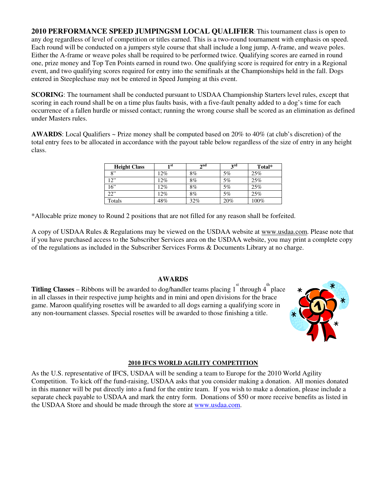**2010 PERFORMANCE SPEED JUMPINGSM LOCAL QUALIFIER**: This tournament class is open to any dog regardless of level of competition or titles earned. This is a two-round tournament with emphasis on speed. Each round will be conducted on a jumpers style course that shall include a long jump, A-frame, and weave poles. Either the A-frame or weave poles shall be required to be performed twice. Qualifying scores are earned in round one, prize money and Top Ten Points earned in round two. One qualifying score is required for entry in a Regional event, and two qualifying scores required for entry into the semifinals at the Championships held in the fall. Dogs entered in Steeplechase may not be entered in Speed Jumping at this event.

**SCORING**: The tournament shall be conducted pursuant to USDAA Championship Starters level rules, except that scoring in each round shall be on a time plus faults basis, with a five-fault penalty added to a dog's time for each occurrence of a fallen hurdle or missed contact; running the wrong course shall be scored as an elimination as defined under Masters rules.

**AWARDS**: Local Qualifiers ~ Prize money shall be computed based on 20% to 40% (at club's discretion) of the total entry fees to be allocated in accordance with the payout table below regardless of the size of entry in any height class.

| <b>Height Class</b> | 1 st | $\lambda$ nd | $2^{\text{rd}}$ | Total* |
|---------------------|------|--------------|-----------------|--------|
| R                   | 12%  | $8\%$        | 5%              | 25%    |
| 12"                 | 12%  | $8\%$        | 5%              | 25%    |
| 16"                 | 12%  | $8\%$        | 5%              | 25%    |
| 22"                 | 12%  | $8\%$        | 5%              | 25%    |
| Totals              | 48%  | 32%          | 20%             | 100%   |

\*Allocable prize money to Round 2 positions that are not filled for any reason shall be forfeited.

A copy of USDAA Rules & Regulations may be viewed on the USDAA website at www.usdaa.com. Please note that if you have purchased access to the Subscriber Services area on the USDAA website, you may print a complete copy of the regulations as included in the Subscriber Services Forms & Documents Library at no charge.

### **AWARDS**

**Titling Classes** – Ribbons will be awarded to dog/handler teams placing  $1^{st}$  through  $4^{th}$  place in all classes in their respective jump heights and in mini and open divisions for the brace game. Maroon qualifying rosettes will be awarded to all dogs earning a qualifying score in any non-tournament classes. Special rosettes will be awarded to those finishing a title.



### **2010 IFCS WORLD AGILITY COMPETITION**

As the U.S. representative of IFCS, USDAA will be sending a team to Europe for the 2010 World Agility Competition. To kick off the fund-raising, USDAA asks that you consider making a donation. All monies donated in this manner will be put directly into a fund for the entire team. If you wish to make a donation, please include a separate check payable to USDAA and mark the entry form. Donations of \$50 or more receive benefits as listed in the USDAA Store and should be made through the store at www.usdaa.com.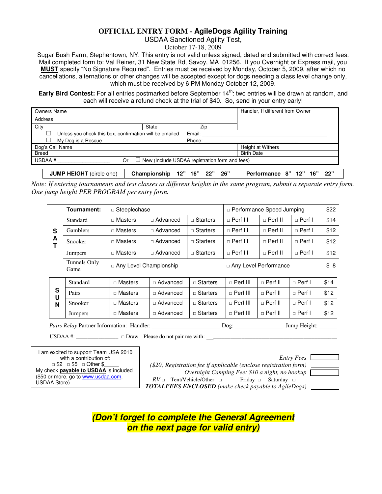## **OFFICIAL ENTRY FORM - AgileDogs Agility Training**

USDAA Sanctioned Agility Test,

October 17-18, 2009

Sugar Bush Farm, Stephentown, NY. This entry is not valid unless signed, dated and submitted with correct fees. Mail completed form to: Val Reiner, 31 New State Rd, Savoy, MA 01256. If you Overnight or Express mail, you **MUST** specify "No Signature Required". Entries must be received by Monday, October 5, 2009, after which no cancellations, alternations or other changes will be accepted except for dogs needing a class level change only, which must be received by 6 PM Monday October 12, 2009.

**Early Bird Contest:** For all entries postmarked before September 14<sup>th</sup>: two entries will be drawn at random, and each will receive a refund check at the trial of \$40. So, send in your entry early!

| <b>Owners Name</b>                                      |       |                                                       | Handler, If different from Owner |
|---------------------------------------------------------|-------|-------------------------------------------------------|----------------------------------|
| Address                                                 |       |                                                       |                                  |
| City                                                    | State | Zip                                                   |                                  |
| Unless you check this box, confirmation will be emailed |       | Email:                                                |                                  |
| My Dog is a Rescue                                      |       | Phone:                                                |                                  |
| Dog's Call Name                                         |       |                                                       | <b>Height at Withers</b>         |
| <b>Breed</b>                                            |       |                                                       | <b>Birth Date</b>                |
| USDAA#<br>Or                                            |       | $\Box$ New (Include USDAA registration form and fees) |                                  |
|                                                         |       |                                                       |                                  |

**JUMP HEIGHT** (circle one) **Championship 12" 16" 22" 26" Performance 8" 12" 16" 22"**  *Note: If entering tournaments and test classes at different heights in the same program, submit a separate entry form.* 

|        | Tournament:          |                | $\Box$ Steeplechase           |                   |                   | □ Performance Speed Jumping |                 |      |  |
|--------|----------------------|----------------|-------------------------------|-------------------|-------------------|-----------------------------|-----------------|------|--|
|        | Standard             | $\Box$ Masters | $\Box$ Advanced               | $\sqcap$ Starters | $\Box$ Perf III   | $\Box$ Perf II              | $\sqcap$ Perf I | \$14 |  |
| S      | <b>Gamblers</b>      | $\Box$ Masters | $\Box$ Advanced               | $\Box$ Starters   | $\Box$ Perf III   | $\sqcap$ Perf II            | $\sqcap$ Perf I | \$12 |  |
| A<br>Ť | Snooker              | $\Box$ Masters | □ Advanced                    | $\Box$ Starters   | $\Box$ Perf III   | $\sqcap$ Perf II            | $\sqcap$ Perf I | \$12 |  |
|        | Jumpers              | $\Box$ Masters | $\Box$ Advanced               | $\sqcap$ Starters | $\sqcap$ Perf III | $\Box$ Perf II              | $\sqcap$ Perf I | \$12 |  |
|        | Tunnels Only<br>Game |                | $\Box$ Any Level Championship |                   |                   | □ Any Level Performance     |                 |      |  |
|        |                      |                |                               |                   |                   |                             |                 |      |  |
|        | Standard             | $\Box$ Masters | $\Box$ Advanced               | $\Box$ Starters   | $\sqcap$ Perf III | $\sqcap$ Perf II            | $\sqcap$ Perf I | \$14 |  |
| S<br>U | Pairs                | $\Box$ Masters | $\Box$ Advanced               | $\Box$ Starters   | $\sqcap$ Perf III | $\sqcap$ Perf II            | $\sqcap$ Perf I | \$12 |  |
| N      | Snooker              | $\Box$ Masters | $\Box$ Advanced               | $\Box$ Starters   | $\sqcap$ Perf III | $\sqcap$ Perf II            | $\Box$ Perf I   | \$12 |  |
|        | <b>Jumpers</b>       | $\Box$ Masters | □ Advanced                    | $\Box$ Starters   | $\sqcap$ Perf III | $\sqcap$ Perf II            | $\Box$ Perf I   | \$12 |  |

 *Pairs Relay* Partner Information: Handler: \_\_\_\_\_\_\_\_\_\_\_\_\_\_\_\_\_\_\_\_\_\_\_ Dog: \_\_\_\_\_\_\_\_\_\_\_\_\_\_\_\_ Jump Height: \_\_\_\_\_\_

USDAA #: \_\_\_\_\_\_\_\_\_\_\_\_\_\_\_ □ Draw Please do not pair me with: \_\_\_\_\_\_\_\_\_\_\_\_\_\_\_\_\_\_\_\_\_\_\_\_\_\_\_\_\_\_\_\_\_\_\_\_\_\_\_\_\_\_\_\_\_\_

*Entry Fees Entry Fees* I am excited to support Team USA 2010 □ \$2 □ \$5 □ Other \$ My check **payable to USDAA** is included (\$50 or more, go to www.usdaa.com, USDAA Store)

*One jump height PER PROGRAM per entry form.* 

 *(\$20) Registration fee if applicable (enclose registration form) Overnight Camping Fee: \$10 a night, no hookup*   $RV \Box$  Tent/Vehicle/Other  $\Box$  Friday  $\Box$  Saturday  $\Box$  *TOTALFEES ENCLOSED (make check payable to AgileDogs)*

| 2S |  |
|----|--|
|    |  |
| ı) |  |
|    |  |
| m  |  |

**(Don't forget to complete the General Agreement on the next page for valid entry)**